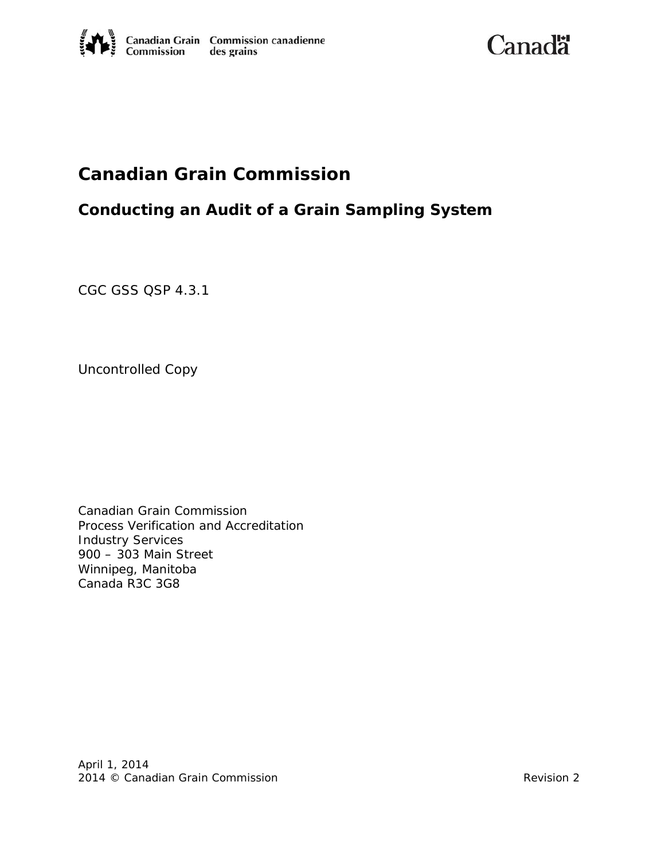**Canadä** 

# **Canadian Grain Commission**

## **Conducting an Audit of a Grain Sampling System**

CGC GSS QSP 4.3.1

Uncontrolled Copy

Canadian Grain Commission Process Verification and Accreditation Industry Services 900 – 303 Main Street Winnipeg, Manitoba Canada R3C 3G8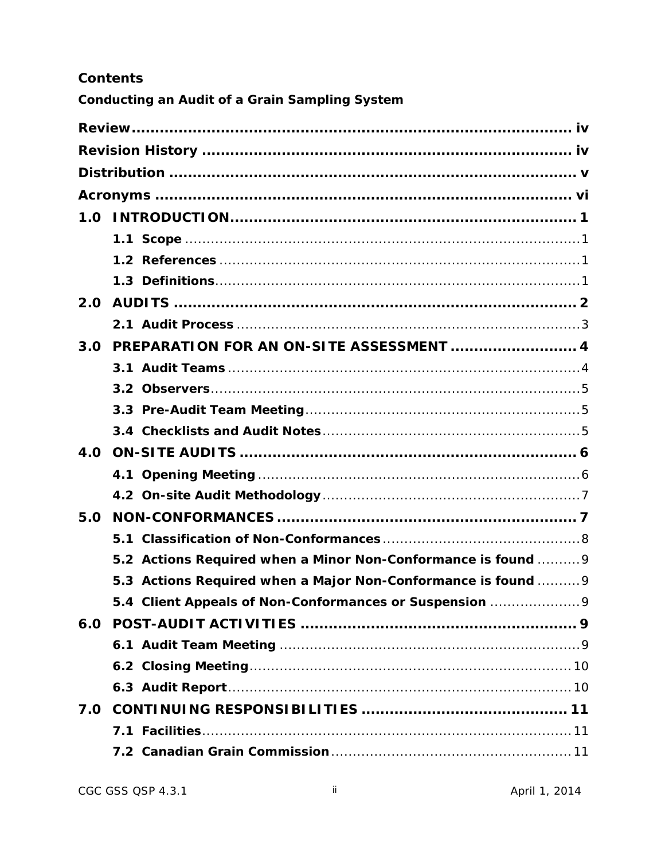## **Contents**

**Conducting an Audit of a Grain Sampling System** 

| 2.0 |                                                               |
|-----|---------------------------------------------------------------|
|     |                                                               |
| 3.0 | PREPARATION FOR AN ON-SITE ASSESSMENT  4                      |
|     |                                                               |
|     |                                                               |
|     |                                                               |
|     |                                                               |
| 4.0 |                                                               |
|     |                                                               |
|     |                                                               |
| 5.0 |                                                               |
|     |                                                               |
|     | 5.2 Actions Required when a Minor Non-Conformance is found  9 |
|     | 5.3 Actions Required when a Major Non-Conformance is found  9 |
|     | 5.4 Client Appeals of Non-Conformances or Suspension 9        |
|     |                                                               |
|     |                                                               |
|     |                                                               |
|     |                                                               |
| 7.0 |                                                               |
|     |                                                               |
|     |                                                               |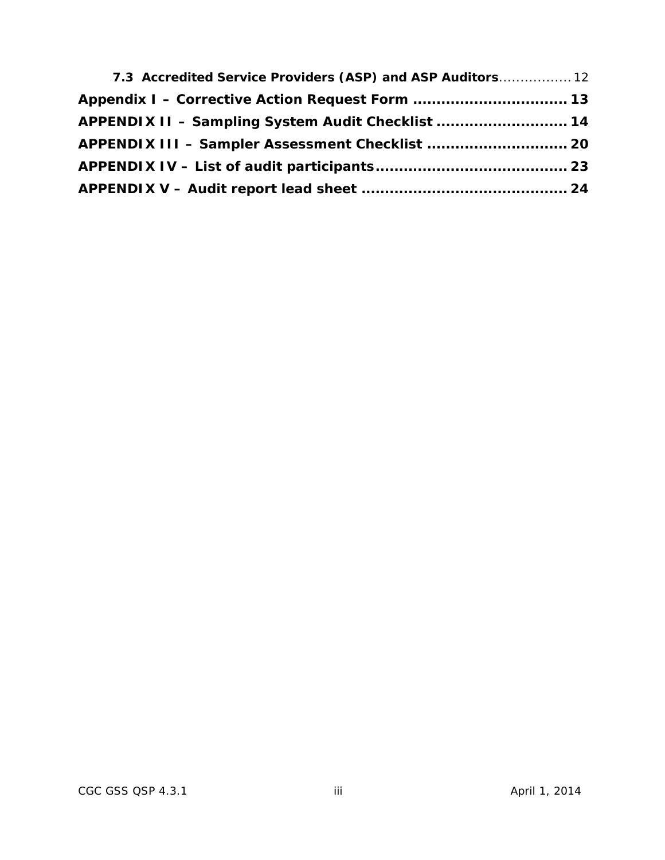| 7.3 Accredited Service Providers (ASP) and ASP Auditors 12 |  |
|------------------------------------------------------------|--|
|                                                            |  |
| APPENDIX II - Sampling System Audit Checklist  14          |  |
| APPENDIX III - Sampler Assessment Checklist  20            |  |
|                                                            |  |
|                                                            |  |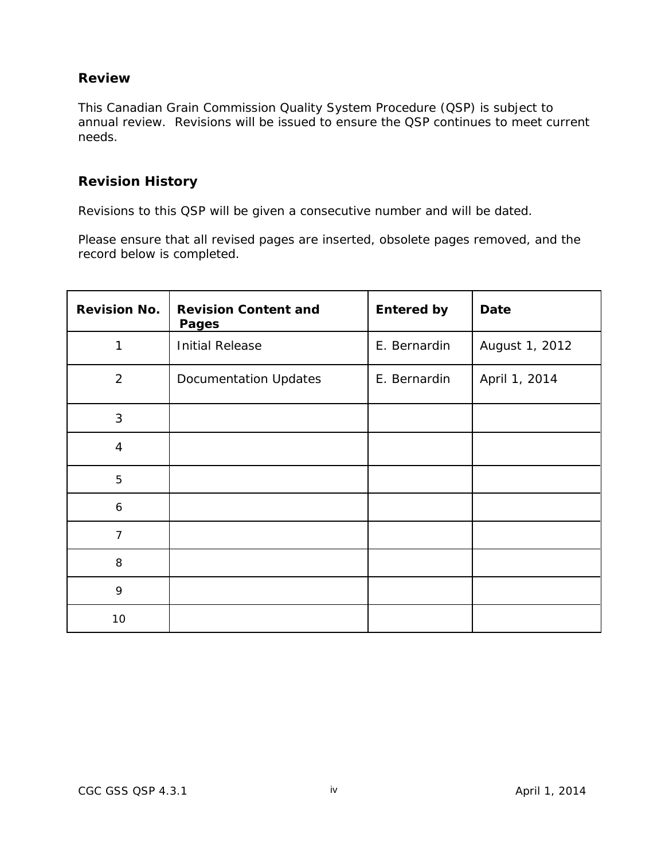## <span id="page-3-0"></span>**Review**

This Canadian Grain Commission Quality System Procedure (QSP) is subject to annual review. Revisions will be issued to ensure the QSP continues to meet current needs.

## <span id="page-3-1"></span>**Revision History**

Revisions to this QSP will be given a consecutive number and will be dated.

Please ensure that all revised pages are inserted, obsolete pages removed, and the record below is completed.

| <b>Revision No.</b> | <b>Revision Content and</b><br><b>Pages</b> | <b>Entered by</b> | <b>Date</b>    |  |  |
|---------------------|---------------------------------------------|-------------------|----------------|--|--|
| 1                   | <b>Initial Release</b>                      | E. Bernardin      | August 1, 2012 |  |  |
| $\overline{2}$      | <b>Documentation Updates</b>                | E. Bernardin      | April 1, 2014  |  |  |
| 3                   |                                             |                   |                |  |  |
| $\overline{4}$      |                                             |                   |                |  |  |
| 5                   |                                             |                   |                |  |  |
| $\boldsymbol{6}$    |                                             |                   |                |  |  |
| $\overline{7}$      |                                             |                   |                |  |  |
| 8                   |                                             |                   |                |  |  |
| 9                   |                                             |                   |                |  |  |
| 10                  |                                             |                   |                |  |  |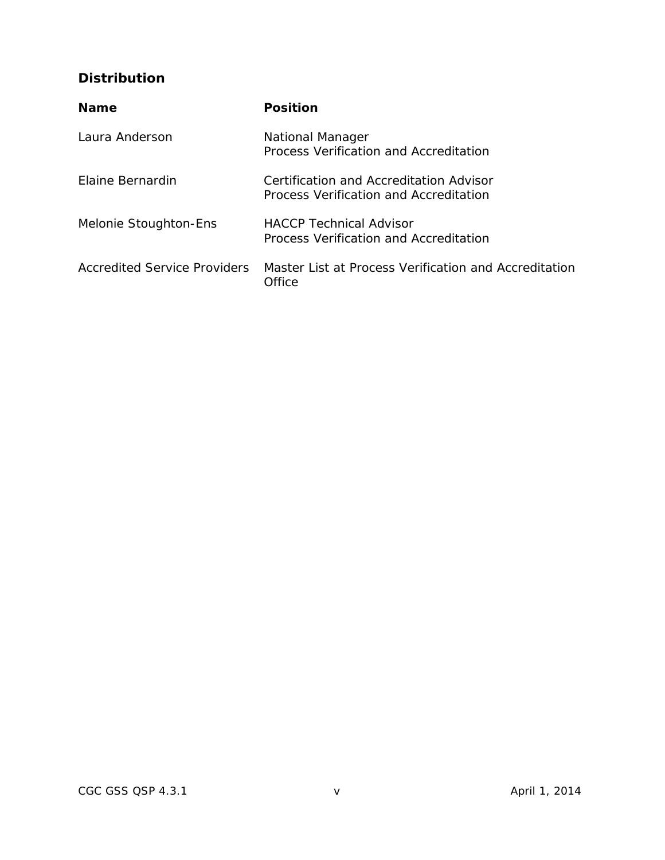## <span id="page-4-0"></span>**Distribution**

| <b>Name</b>                         | <b>Position</b>                                                                   |
|-------------------------------------|-----------------------------------------------------------------------------------|
| Laura Anderson                      | National Manager<br>Process Verification and Accreditation                        |
| Flaine Bernardin                    | Certification and Accreditation Advisor<br>Process Verification and Accreditation |
| Melonie Stoughton-Ens               | <b>HACCP Technical Advisor</b><br>Process Verification and Accreditation          |
| <b>Accredited Service Providers</b> | Master List at Process Verification and Accreditation<br>Office                   |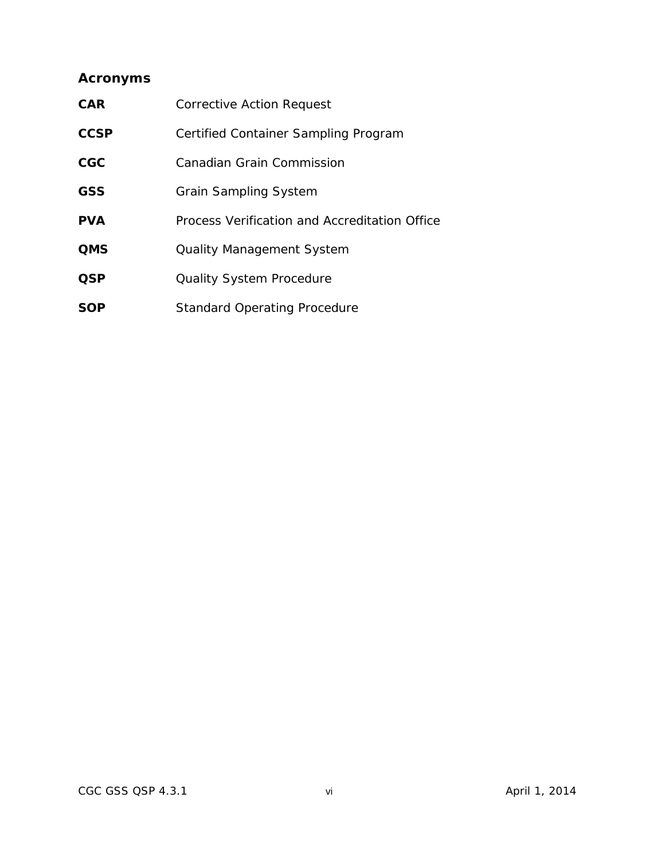## <span id="page-5-0"></span>**Acronyms**

| <b>CAR</b>  | Corrective Action Request                     |
|-------------|-----------------------------------------------|
| <b>CCSP</b> | Certified Container Sampling Program          |
| CGC         | Canadian Grain Commission                     |
| <b>GSS</b>  | <b>Grain Sampling System</b>                  |
| <b>PVA</b>  | Process Verification and Accreditation Office |
| <b>QMS</b>  | <b>Quality Management System</b>              |
| <b>QSP</b>  | <b>Quality System Procedure</b>               |
| <b>SOP</b>  | <b>Standard Operating Procedure</b>           |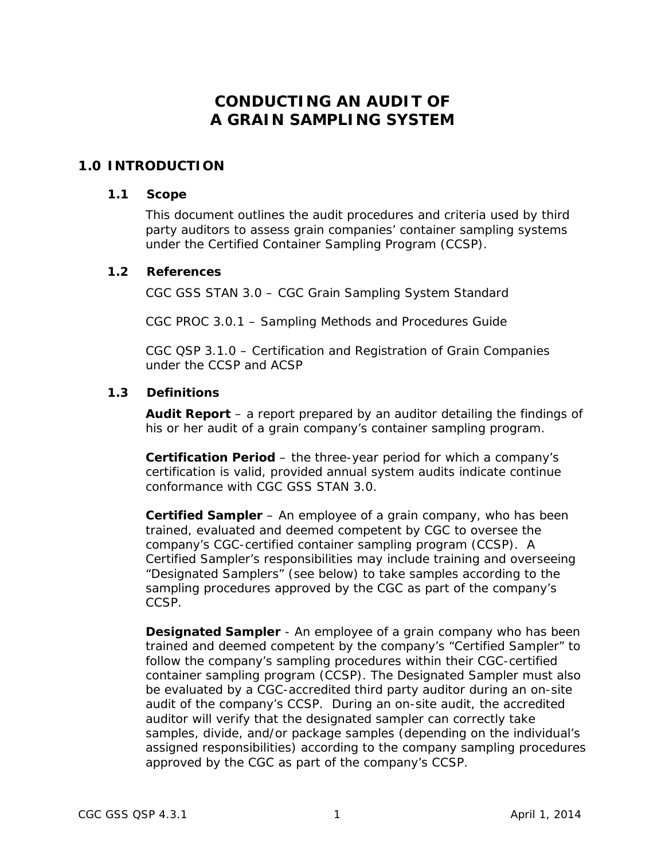## **CONDUCTING AN AUDIT OF A GRAIN SAMPLING SYSTEM**

## <span id="page-6-1"></span><span id="page-6-0"></span>**1.0 INTRODUCTION**

#### **1.1 Scope**

This document outlines the audit procedures and criteria used by third party auditors to assess grain companies' container sampling systems under the Certified Container Sampling Program (CCSP).

#### <span id="page-6-2"></span>**1.2 References**

CGC GSS STAN 3.0 – CGC Grain Sampling System Standard

CGC PROC 3.0.1 – Sampling Methods and Procedures Guide

CGC QSP 3.1.0 – Certification and Registration of Grain Companies under the CCSP and ACSP

#### <span id="page-6-3"></span>**1.3 Definitions**

**Audit Report** – a report prepared by an auditor detailing the findings of his or her audit of a grain company's container sampling program.

**Certification Period** – the three-year period for which a company's certification is valid, provided annual system audits indicate continue conformance with CGC GSS STAN 3.0.

**Certified Sampler** – An employee of a grain company, who has been trained, evaluated and deemed competent by CGC to oversee the company's CGC-certified container sampling program (CCSP). A Certified Sampler's responsibilities may include training and overseeing "Designated Samplers" (see below) to take samples according to the sampling procedures approved by the CGC as part of the company's CCSP.

**Designated Sampler** - An employee of a grain company who has been trained and deemed competent by the company's "Certified Sampler" to follow the company's sampling procedures within their CGC-certified container sampling program (CCSP). The Designated Sampler must also be evaluated by a CGC-accredited third party auditor during an on-site audit of the company's CCSP. During an on-site audit, the accredited auditor will verify that the designated sampler can correctly take samples, divide, and/or package samples (depending on the individual's assigned responsibilities) according to the company sampling procedures approved by the CGC as part of the company's CCSP.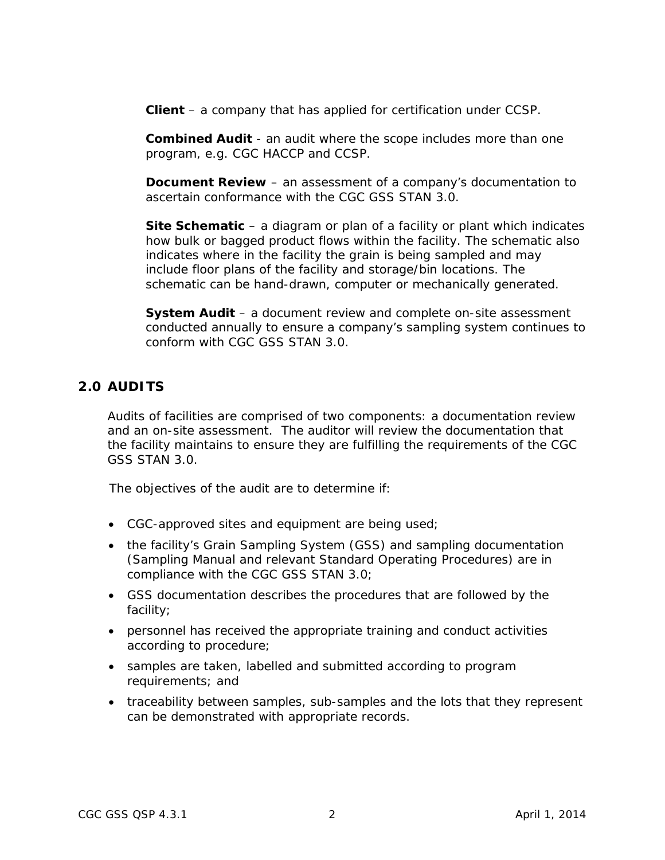**Client** – a company that has applied for certification under CCSP.

**Combined Audit** - an audit where the scope includes more than one program, e.g. CGC HACCP and CCSP.

**Document Review** – an assessment of a company's documentation to ascertain conformance with the CGC GSS STAN 3.0.

**Site Schematic** – a diagram or plan of a facility or plant which indicates how bulk or bagged product flows within the facility. The schematic also indicates where in the facility the grain is being sampled and may include floor plans of the facility and storage/bin locations. The schematic can be hand-drawn, computer or mechanically generated.

**System Audit** – a document review and complete on-site assessment conducted annually to ensure a company's sampling system continues to conform with CGC GSS STAN 3.0.

## <span id="page-7-0"></span>**2.0 AUDITS**

Audits of facilities are comprised of two components: a documentation review and an on-site assessment. The auditor will review the documentation that the facility maintains to ensure they are fulfilling the requirements of the CGC GSS STAN 3.0.

The objectives of the audit are to determine if:

- CGC-approved sites and equipment are being used;
- the facility's Grain Sampling System (GSS) and sampling documentation (Sampling Manual and relevant Standard Operating Procedures) are in compliance with the CGC GSS STAN 3.0;
- GSS documentation describes the procedures that are followed by the facility;
- personnel has received the appropriate training and conduct activities according to procedure;
- samples are taken, labelled and submitted according to program requirements; and
- traceability between samples, sub-samples and the lots that they represent can be demonstrated with appropriate records.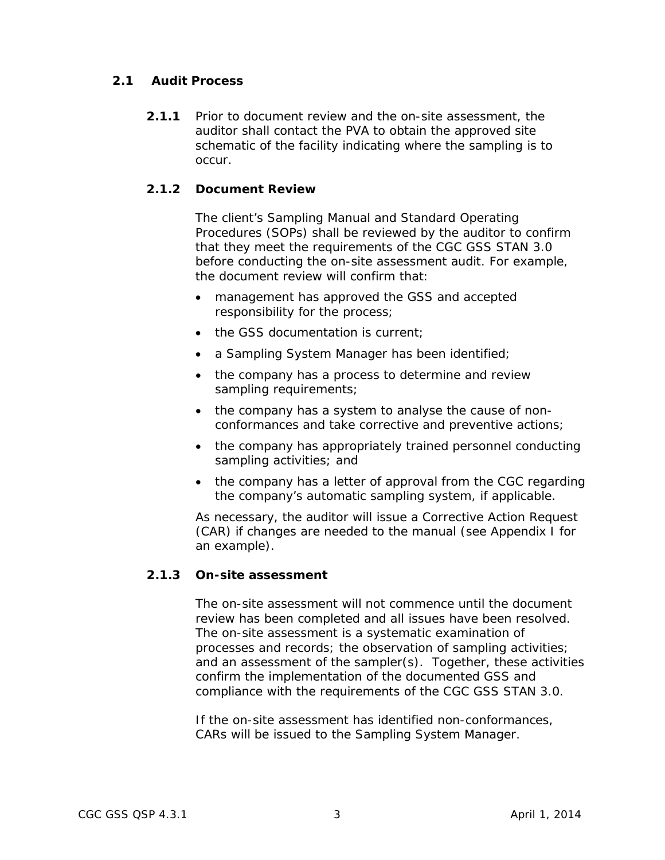## <span id="page-8-0"></span>**2.1 Audit Process**

**2.1.1** Prior to document review and the on-site assessment, the auditor shall contact the PVA to obtain the approved site schematic of the facility indicating where the sampling is to occur.

## **2.1.2 Document Review**

The client's Sampling Manual and Standard Operating Procedures (SOPs) shall be reviewed by the auditor to confirm that they meet the requirements of the CGC GSS STAN 3.0 before conducting the on-site assessment audit. For example, the document review will confirm that:

- management has approved the GSS and accepted responsibility for the process;
- the GSS documentation is current;
- a Sampling System Manager has been identified;
- the company has a process to determine and review sampling requirements;
- the company has a system to analyse the cause of nonconformances and take corrective and preventive actions;
- the company has appropriately trained personnel conducting sampling activities; and
- the company has a letter of approval from the CGC regarding the company's automatic sampling system, if applicable.

As necessary, the auditor will issue a Corrective Action Request (CAR) if changes are needed to the manual (see Appendix I for an example).

#### **2.1.3 On-site assessment**

The on-site assessment will not commence until the document review has been completed and all issues have been resolved. The on-site assessment is a systematic examination of processes and records; the observation of sampling activities; and an assessment of the sampler(s). Together, these activities confirm the implementation of the documented GSS and compliance with the requirements of the CGC GSS STAN 3.0.

If the on-site assessment has identified non-conformances, CARs will be issued to the Sampling System Manager.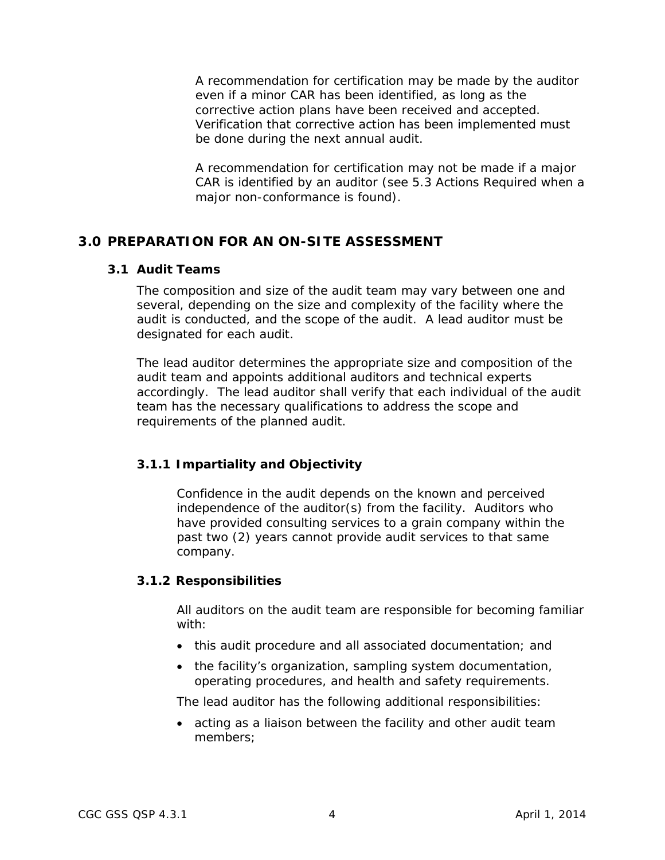A recommendation for certification may be made by the auditor even if a minor CAR has been identified, as long as the corrective action plans have been received and accepted. Verification that corrective action has been implemented must be done during the next annual audit.

A recommendation for certification may not be made if a major CAR is identified by an auditor (see 5.3 Actions Required when a major non-conformance is found).

## <span id="page-9-1"></span><span id="page-9-0"></span>**3.0 PREPARATION FOR AN ON-SITE ASSESSMENT**

#### **3.1 Audit Teams**

The composition and size of the audit team may vary between one and several, depending on the size and complexity of the facility where the audit is conducted, and the scope of the audit. A lead auditor must be designated for each audit.

The lead auditor determines the appropriate size and composition of the audit team and appoints additional auditors and technical experts accordingly. The lead auditor shall verify that each individual of the audit team has the necessary qualifications to address the scope and requirements of the planned audit.

## **3.1.1 Impartiality and Objectivity**

Confidence in the audit depends on the known and perceived independence of the auditor(s) from the facility. Auditors who have provided consulting services to a grain company within the past two (2) years cannot provide audit services to that same company.

#### **3.1.2 Responsibilities**

All auditors on the audit team are responsible for becoming familiar with:

- this audit procedure and all associated documentation; and
- the facility's organization, sampling system documentation, operating procedures, and health and safety requirements.

The lead auditor has the following additional responsibilities:

• acting as a liaison between the facility and other audit team members;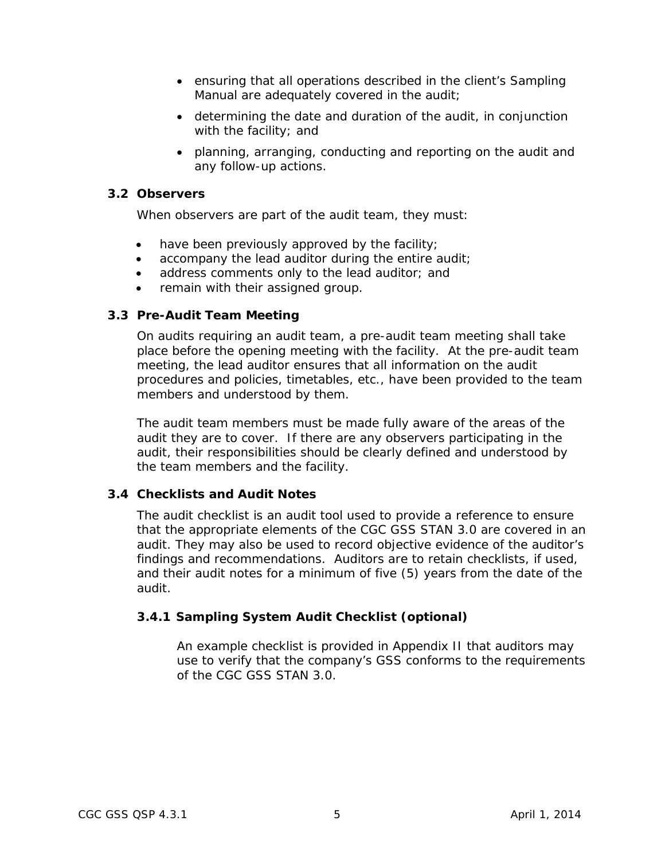- ensuring that all operations described in the client's Sampling Manual are adequately covered in the audit;
- determining the date and duration of the audit, in conjunction with the facility; and
- planning, arranging, conducting and reporting on the audit and any follow-up actions.

#### <span id="page-10-0"></span>**3.2 Observers**

When observers are part of the audit team, they must:

- have been previously approved by the facility;
- accompany the lead auditor during the entire audit;
- address comments only to the lead auditor; and
- remain with their assigned group.

## <span id="page-10-1"></span>**3.3 Pre-Audit Team Meeting**

On audits requiring an audit team, a pre-audit team meeting shall take place before the opening meeting with the facility. At the pre-audit team meeting, the lead auditor ensures that all information on the audit procedures and policies, timetables, etc., have been provided to the team members and understood by them.

The audit team members must be made fully aware of the areas of the audit they are to cover. If there are any observers participating in the audit, their responsibilities should be clearly defined and understood by the team members and the facility.

## <span id="page-10-2"></span>**3.4 Checklists and Audit Notes**

The audit checklist is an audit tool used to provide a reference to ensure that the appropriate elements of the CGC GSS STAN 3.0 are covered in an audit. They may also be used to record objective evidence of the auditor's findings and recommendations. Auditors are to retain checklists, if used, and their audit notes for a minimum of five (5) years from the date of the audit.

## **3.4.1 Sampling System Audit Checklist (optional)**

An example checklist is provided in Appendix II that auditors may use to verify that the company's GSS conforms to the requirements of the CGC GSS STAN 3.0.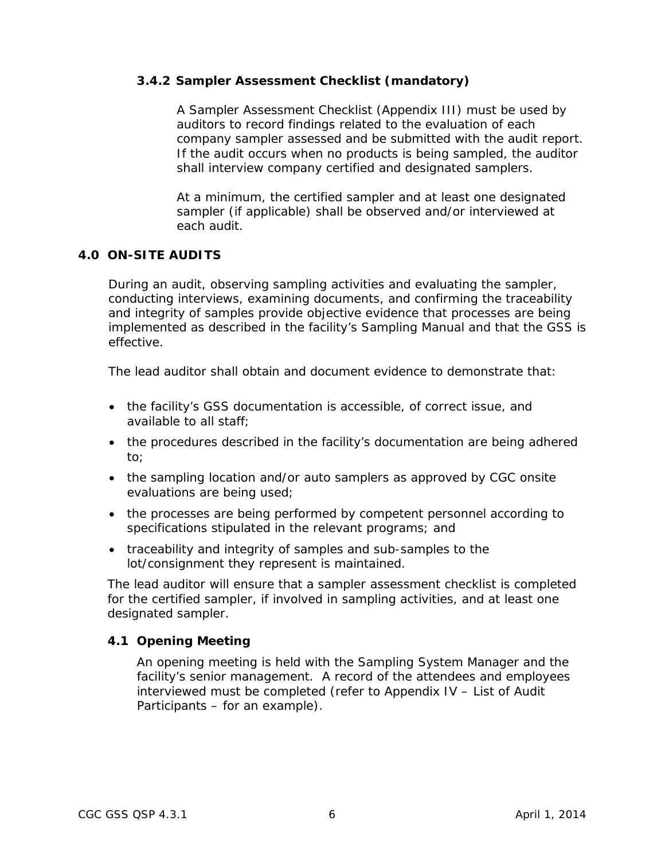#### **3.4.2 Sampler Assessment Checklist (mandatory)**

A Sampler Assessment Checklist (Appendix III) must be used by auditors to record findings related to the evaluation of each company sampler assessed and be submitted with the audit report. If the audit occurs when no products is being sampled, the auditor shall interview company certified and designated samplers.

At a minimum, the certified sampler and at least one designated sampler (if applicable) shall be observed and/or interviewed at each audit.

#### <span id="page-11-0"></span>**4.0 ON-SITE AUDITS**

During an audit, observing sampling activities and evaluating the sampler, conducting interviews, examining documents, and confirming the traceability and integrity of samples provide objective evidence that processes are being implemented as described in the facility's Sampling Manual and that the GSS is effective.

The lead auditor shall obtain and document evidence to demonstrate that:

- the facility's GSS documentation is accessible, of correct issue, and available to all staff;
- the procedures described in the facility's documentation are being adhered to;
- the sampling location and/or auto samplers as approved by CGC onsite evaluations are being used;
- the processes are being performed by competent personnel according to specifications stipulated in the relevant programs; and
- traceability and integrity of samples and sub-samples to the lot/consignment they represent is maintained.

The lead auditor will ensure that a sampler assessment checklist is completed for the certified sampler, if involved in sampling activities, and at least one designated sampler.

#### <span id="page-11-1"></span>**4.1 Opening Meeting**

An opening meeting is held with the Sampling System Manager and the facility's senior management. A record of the attendees and employees interviewed must be completed (refer to Appendix IV – List of Audit Participants – for an example).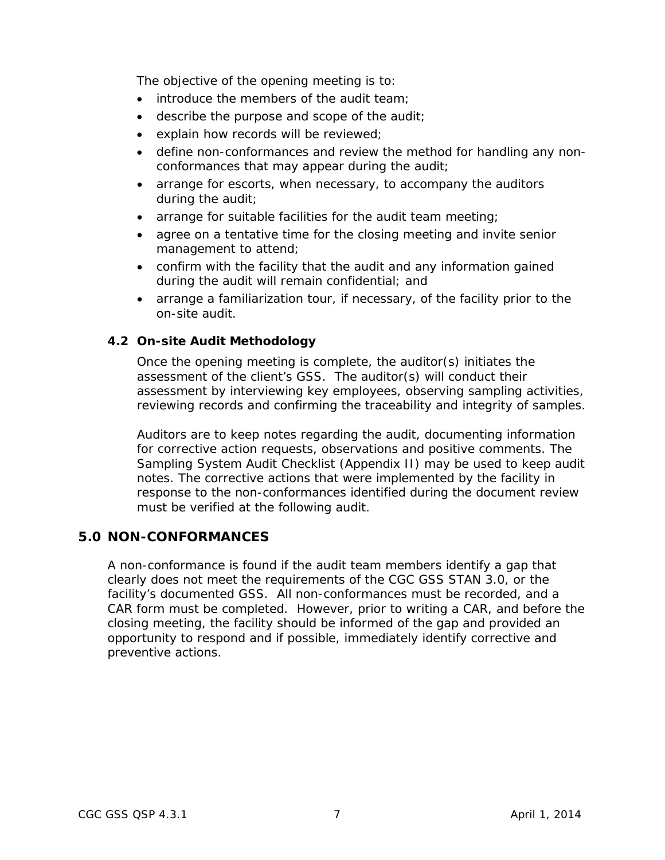The objective of the opening meeting is to:

- introduce the members of the audit team:
- describe the purpose and scope of the audit;
- explain how records will be reviewed;
- define non-conformances and review the method for handling any nonconformances that may appear during the audit;
- arrange for escorts, when necessary, to accompany the auditors during the audit;
- arrange for suitable facilities for the audit team meeting;
- agree on a tentative time for the closing meeting and invite senior management to attend;
- confirm with the facility that the audit and any information gained during the audit will remain confidential; and
- arrange a familiarization tour, if necessary, of the facility prior to the on-site audit.

#### <span id="page-12-0"></span>**4.2 On-site Audit Methodology**

Once the opening meeting is complete, the auditor(s) initiates the assessment of the client's GSS. The auditor(s) will conduct their assessment by interviewing key employees, observing sampling activities, reviewing records and confirming the traceability and integrity of samples.

Auditors are to keep notes regarding the audit, documenting information for corrective action requests, observations and positive comments. The Sampling System Audit Checklist (Appendix II) may be used to keep audit notes. The corrective actions that were implemented by the facility in response to the non-conformances identified during the document review must be verified at the following audit.

## <span id="page-12-1"></span>**5.0 NON-CONFORMANCES**

A non-conformance is found if the audit team members identify a gap that clearly does not meet the requirements of the CGC GSS STAN 3.0, or the facility's documented GSS. All non-conformances must be recorded, and a CAR form must be completed. However, prior to writing a CAR, and before the closing meeting, the facility should be informed of the gap and provided an opportunity to respond and if possible, immediately identify corrective and preventive actions.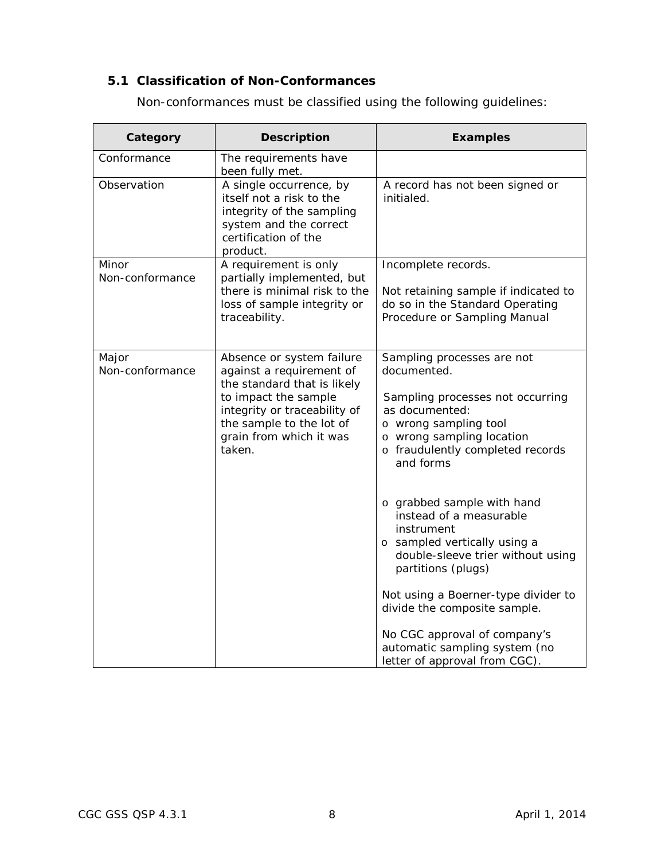## <span id="page-13-0"></span>**5.1 Classification of Non-Conformances**

Non-conformances must be classified using the following guidelines:

| Category                 | <b>Description</b>                                                                                                                                                                                            | <b>Examples</b>                                                                                                                                                                                        |
|--------------------------|---------------------------------------------------------------------------------------------------------------------------------------------------------------------------------------------------------------|--------------------------------------------------------------------------------------------------------------------------------------------------------------------------------------------------------|
| Conformance              | The requirements have<br>been fully met.                                                                                                                                                                      |                                                                                                                                                                                                        |
| Observation              | A single occurrence, by<br>itself not a risk to the<br>integrity of the sampling<br>system and the correct<br>certification of the<br>product.                                                                | A record has not been signed or<br>initialed.                                                                                                                                                          |
| Minor<br>Non-conformance | A requirement is only<br>partially implemented, but                                                                                                                                                           | Incomplete records.                                                                                                                                                                                    |
|                          | there is minimal risk to the<br>loss of sample integrity or<br>traceability.                                                                                                                                  | Not retaining sample if indicated to<br>do so in the Standard Operating<br>Procedure or Sampling Manual                                                                                                |
| Major<br>Non-conformance | Absence or system failure<br>against a requirement of<br>the standard that is likely<br>to impact the sample<br>integrity or traceability of<br>the sample to the lot of<br>grain from which it was<br>taken. | Sampling processes are not<br>documented.<br>Sampling processes not occurring<br>as documented:<br>o wrong sampling tool<br>o wrong sampling location<br>o fraudulently completed records<br>and forms |
|                          |                                                                                                                                                                                                               | o grabbed sample with hand<br>instead of a measurable<br>instrument<br>o sampled vertically using a<br>double-sleeve trier without using<br>partitions (plugs)                                         |
|                          |                                                                                                                                                                                                               | Not using a Boerner-type divider to<br>divide the composite sample.                                                                                                                                    |
|                          |                                                                                                                                                                                                               | No CGC approval of company's<br>automatic sampling system (no<br>letter of approval from CGC).                                                                                                         |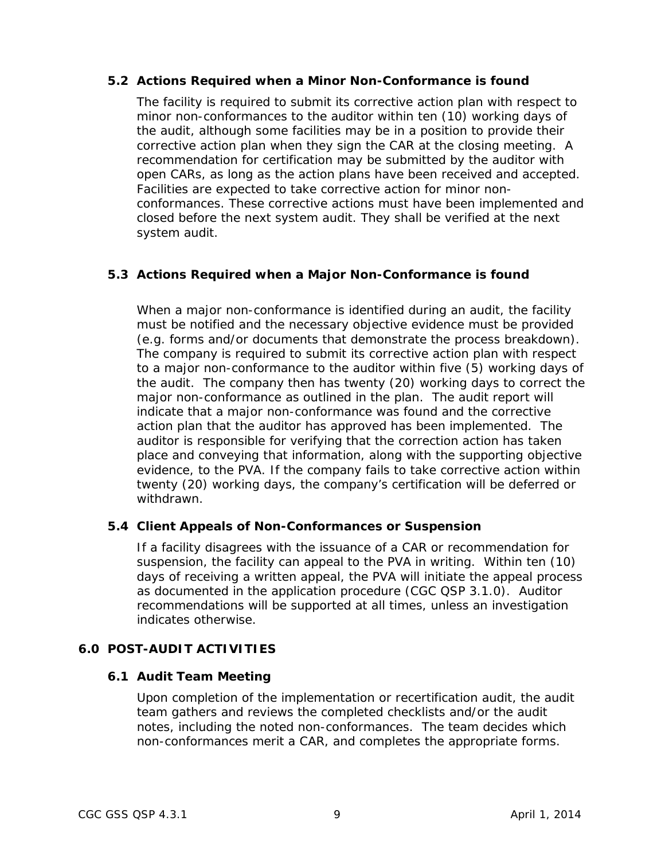#### <span id="page-14-0"></span>**5.2 Actions Required when a Minor Non-Conformance is found**

The facility is required to submit its corrective action plan with respect to minor non-conformances to the auditor within ten (10) working days of the audit, although some facilities may be in a position to provide their corrective action plan when they sign the CAR at the closing meeting. A recommendation for certification may be submitted by the auditor with open CARs, as long as the action plans have been received and accepted. Facilities are expected to take corrective action for minor nonconformances. These corrective actions must have been implemented and closed before the next system audit. They shall be verified at the next system audit.

## <span id="page-14-1"></span>**5.3 Actions Required when a Major Non-Conformance is found**

When a major non-conformance is identified during an audit, the facility must be notified and the necessary objective evidence must be provided (e.g. forms and/or documents that demonstrate the process breakdown). The company is required to submit its corrective action plan with respect to a major non-conformance to the auditor within five (5) working days of the audit. The company then has twenty (20) working days to correct the major non-conformance as outlined in the plan. The audit report will indicate that a major non-conformance was found and the corrective action plan that the auditor has approved has been implemented. The auditor is responsible for verifying that the correction action has taken place and conveying that information, along with the supporting objective evidence, to the PVA. If the company fails to take corrective action within twenty (20) working days, the company's certification will be deferred or withdrawn.

#### <span id="page-14-2"></span>**5.4 Client Appeals of Non-Conformances or Suspension**

If a facility disagrees with the issuance of a CAR or recommendation for suspension, the facility can appeal to the PVA in writing. Within ten (10) days of receiving a written appeal, the PVA will initiate the appeal process as documented in the application procedure (CGC QSP 3.1.0). Auditor recommendations will be supported at all times, unless an investigation indicates otherwise.

## <span id="page-14-4"></span><span id="page-14-3"></span>**6.0 POST-AUDIT ACTIVITIES**

#### **6.1 Audit Team Meeting**

Upon completion of the implementation or recertification audit, the audit team gathers and reviews the completed checklists and/or the audit notes, including the noted non-conformances. The team decides which non-conformances merit a CAR, and completes the appropriate forms.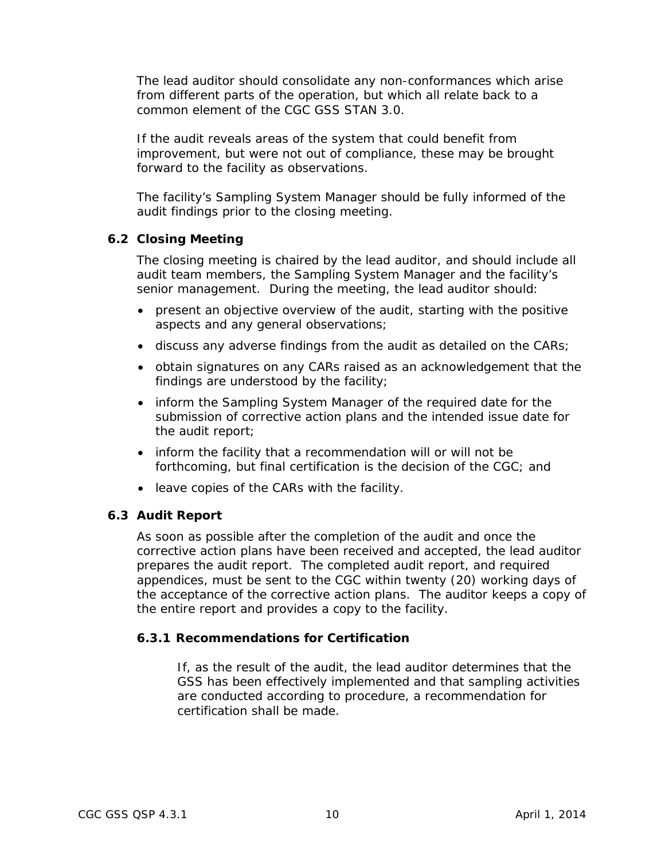The lead auditor should consolidate any non-conformances which arise from different parts of the operation, but which all relate back to a common element of the CGC GSS STAN 3.0.

If the audit reveals areas of the system that could benefit from improvement, but were not out of compliance, these may be brought forward to the facility as observations.

The facility's Sampling System Manager should be fully informed of the audit findings prior to the closing meeting.

### <span id="page-15-0"></span>**6.2 Closing Meeting**

The closing meeting is chaired by the lead auditor, and should include all audit team members, the Sampling System Manager and the facility's senior management. During the meeting, the lead auditor should:

- present an objective overview of the audit, starting with the positive aspects and any general observations;
- discuss any adverse findings from the audit as detailed on the CARs;
- obtain signatures on any CARs raised as an acknowledgement that the findings are understood by the facility;
- inform the Sampling System Manager of the required date for the submission of corrective action plans and the intended issue date for the audit report;
- inform the facility that a recommendation will or will not be forthcoming, but final certification is the decision of the CGC; and
- leave copies of the CARs with the facility.

#### <span id="page-15-1"></span>**6.3 Audit Report**

As soon as possible after the completion of the audit and once the corrective action plans have been received and accepted, the lead auditor prepares the audit report. The completed audit report, and required appendices, must be sent to the CGC within twenty (20) working days of the acceptance of the corrective action plans. The auditor keeps a copy of the entire report and provides a copy to the facility.

## **6.3.1 Recommendations for Certification**

If, as the result of the audit, the lead auditor determines that the GSS has been effectively implemented and that sampling activities are conducted according to procedure, a recommendation for certification shall be made.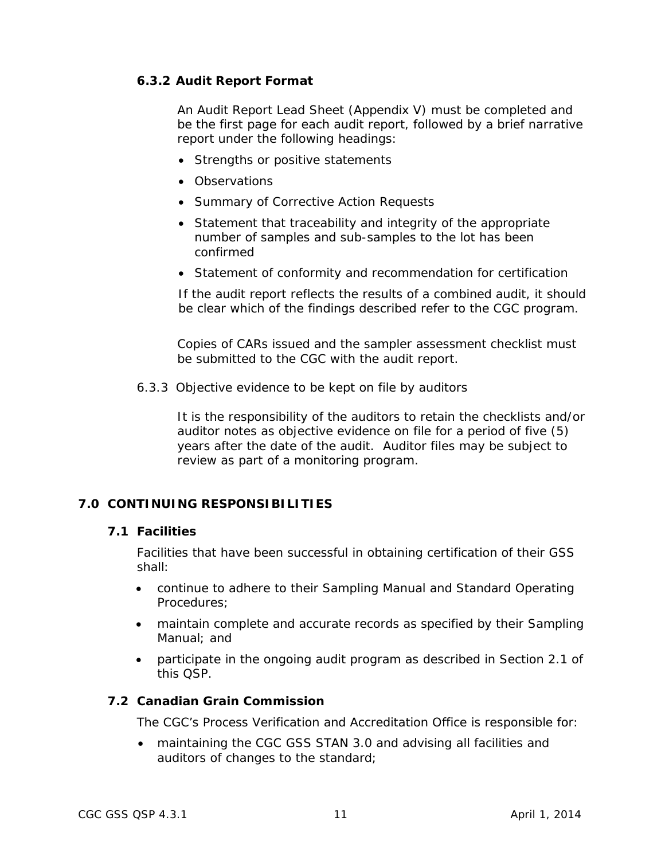## **6.3.2 Audit Report Format**

An Audit Report Lead Sheet (Appendix V) must be completed and be the first page for each audit report, followed by a brief narrative report under the following headings:

- Strengths or positive statements
- Observations
- Summary of Corrective Action Requests
- Statement that traceability and integrity of the appropriate number of samples and sub-samples to the lot has been confirmed
- Statement of conformity and recommendation for certification

If the audit report reflects the results of a combined audit, it should be clear which of the findings described refer to the CGC program.

Copies of CARs issued and the sampler assessment checklist must be submitted to the CGC with the audit report.

6.3.3 Objective evidence to be kept on file by auditors

It is the responsibility of the auditors to retain the checklists and/or auditor notes as objective evidence on file for a period of five (5) years after the date of the audit. Auditor files may be subject to review as part of a monitoring program.

## <span id="page-16-1"></span><span id="page-16-0"></span>**7.0 CONTINUING RESPONSIBILITIES**

#### **7.1 Facilities**

Facilities that have been successful in obtaining certification of their GSS shall:

- continue to adhere to their Sampling Manual and Standard Operating Procedures;
- maintain complete and accurate records as specified by their Sampling Manual; and
- participate in the ongoing audit program as described in Section 2.1 of this QSP.

#### <span id="page-16-2"></span>**7.2 Canadian Grain Commission**

The CGC's Process Verification and Accreditation Office is responsible for:

• maintaining the CGC GSS STAN 3.0 and advising all facilities and auditors of changes to the standard;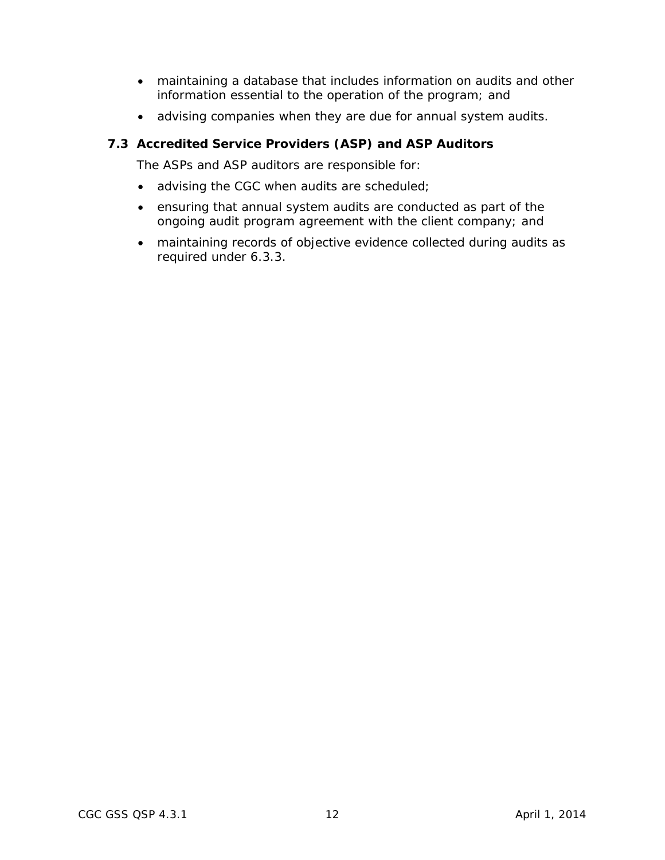- maintaining a database that includes information on audits and other information essential to the operation of the program; and
- advising companies when they are due for annual system audits.

### <span id="page-17-0"></span>**7.3 Accredited Service Providers (ASP) and ASP Auditors**

The ASPs and ASP auditors are responsible for:

- advising the CGC when audits are scheduled;
- ensuring that annual system audits are conducted as part of the ongoing audit program agreement with the client company; and
- maintaining records of objective evidence collected during audits as required under 6.3.3.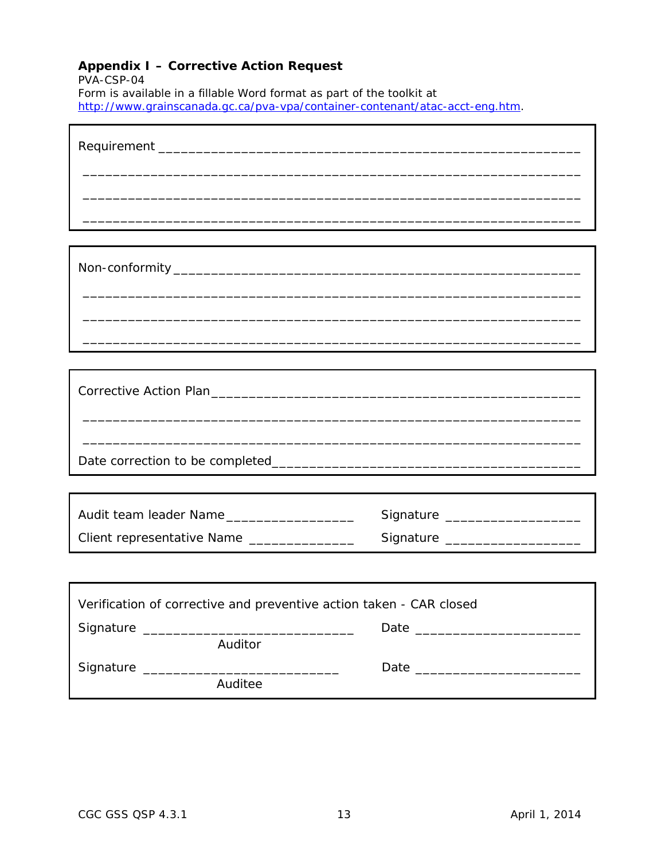## <span id="page-18-0"></span>**Appendix I – Corrective Action Request**

PVA-CSP-04

 $\blacksquare$ 

Form is available in a fillable Word format as part of the toolkit at [http://www.grainscanada.gc.ca/pva-vpa/container-contenant/atac-acct-eng.htm.](http://www.grainscanada.gc.ca/pva-vpa/container-contenant/atac-acct-eng.htm)

| Audit team leader Name                                              | Signature ____________________   |  |  |  |  |
|---------------------------------------------------------------------|----------------------------------|--|--|--|--|
| Client representative Name _______________                          | Signature ______________________ |  |  |  |  |
|                                                                     |                                  |  |  |  |  |
|                                                                     |                                  |  |  |  |  |
| Verification of corrective and preventive action taken - CAR closed |                                  |  |  |  |  |
| Auditor                                                             |                                  |  |  |  |  |
| Signature _________<br><u> 1980 - Jan Barbarat, manala</u>          |                                  |  |  |  |  |
| Auditee                                                             |                                  |  |  |  |  |

٦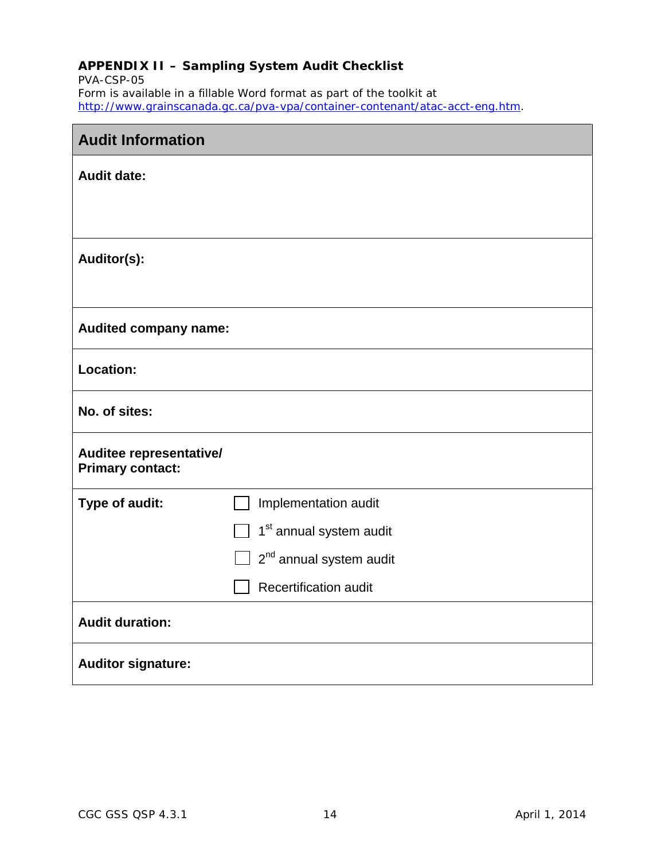## <span id="page-19-0"></span>**APPENDIX II – Sampling System Audit Checklist**

PVA-CSP-05 Form is available in a fillable Word format as part of the toolkit at [http://www.grainscanada.gc.ca/pva-vpa/container-contenant/atac-acct-eng.htm.](http://www.grainscanada.gc.ca/pva-vpa/container-contenant/atac-acct-eng.htm)

| <b>Audit Information</b>                           |                                     |  |  |  |  |
|----------------------------------------------------|-------------------------------------|--|--|--|--|
| <b>Audit date:</b>                                 |                                     |  |  |  |  |
|                                                    |                                     |  |  |  |  |
|                                                    |                                     |  |  |  |  |
| Auditor(s):                                        |                                     |  |  |  |  |
|                                                    |                                     |  |  |  |  |
| <b>Audited company name:</b>                       |                                     |  |  |  |  |
| <b>Location:</b>                                   |                                     |  |  |  |  |
| No. of sites:                                      |                                     |  |  |  |  |
| Auditee representative/<br><b>Primary contact:</b> |                                     |  |  |  |  |
| Type of audit:                                     | Implementation audit                |  |  |  |  |
|                                                    | 1 <sup>st</sup> annual system audit |  |  |  |  |
|                                                    | 2 <sup>nd</sup> annual system audit |  |  |  |  |
|                                                    | <b>Recertification audit</b>        |  |  |  |  |
| <b>Audit duration:</b>                             |                                     |  |  |  |  |
| <b>Auditor signature:</b>                          |                                     |  |  |  |  |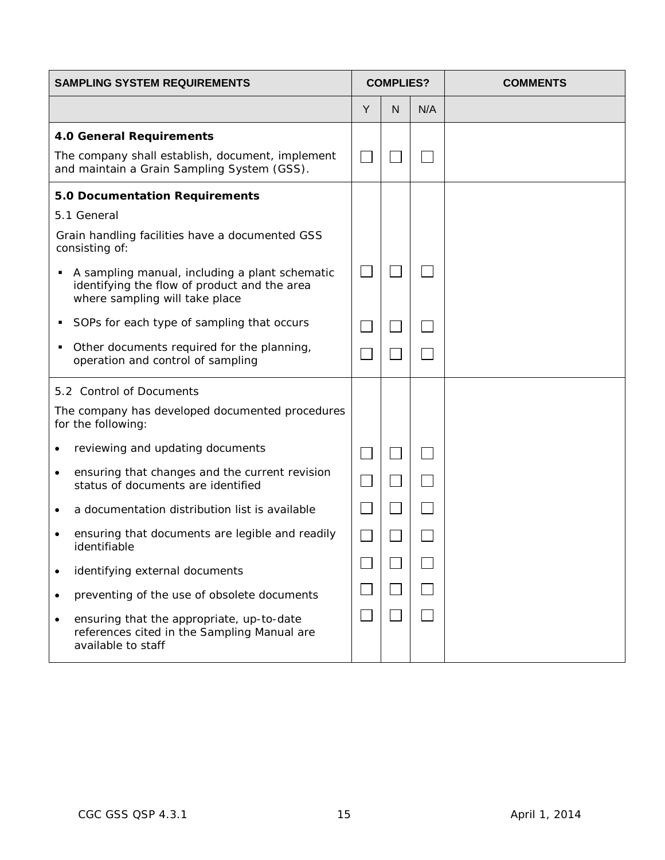| <b>SAMPLING SYSTEM REQUIREMENTS</b>                                                                                              |   | <b>COMPLIES?</b>            |     | <b>COMMENTS</b> |
|----------------------------------------------------------------------------------------------------------------------------------|---|-----------------------------|-----|-----------------|
|                                                                                                                                  | Y | N                           | N/A |                 |
| <b>4.0 General Requirements</b>                                                                                                  |   |                             |     |                 |
| The company shall establish, document, implement<br>and maintain a Grain Sampling System (GSS).                                  |   |                             |     |                 |
| 5.0 Documentation Requirements                                                                                                   |   |                             |     |                 |
| 5.1 General                                                                                                                      |   |                             |     |                 |
| Grain handling facilities have a documented GSS<br>consisting of:                                                                |   |                             |     |                 |
| A sampling manual, including a plant schematic<br>identifying the flow of product and the area<br>where sampling will take place |   |                             |     |                 |
| SOPs for each type of sampling that occurs<br>٠                                                                                  |   |                             |     |                 |
| Other documents required for the planning,<br>٠<br>operation and control of sampling                                             |   |                             |     |                 |
| 5.2 Control of Documents                                                                                                         |   |                             |     |                 |
| The company has developed documented procedures<br>for the following:                                                            |   |                             |     |                 |
| reviewing and updating documents                                                                                                 |   |                             |     |                 |
| ensuring that changes and the current revision<br>٠<br>status of documents are identified                                        |   | $\mathcal{L}_{\mathcal{A}}$ |     |                 |
| a documentation distribution list is available                                                                                   |   |                             |     |                 |
| ensuring that documents are legible and readily<br>identifiable                                                                  |   |                             |     |                 |
| identifying external documents                                                                                                   |   |                             |     |                 |
| preventing of the use of obsolete documents<br>٠                                                                                 |   |                             |     |                 |
| ensuring that the appropriate, up-to-date<br>$\bullet$<br>references cited in the Sampling Manual are<br>available to staff      |   |                             |     |                 |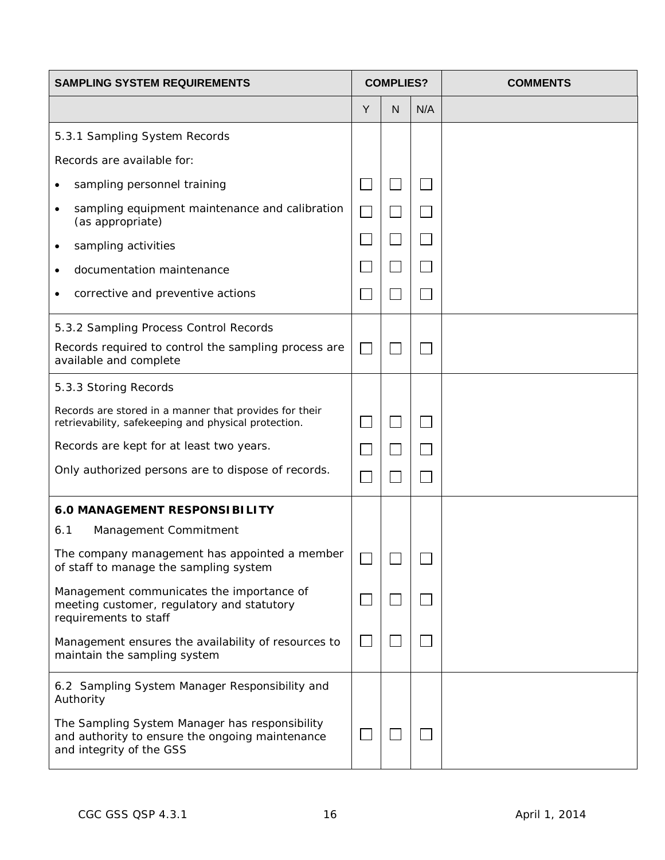| <b>SAMPLING SYSTEM REQUIREMENTS</b>                                                                                           |                          | <b>COMPLIES?</b> |     | <b>COMMENTS</b> |
|-------------------------------------------------------------------------------------------------------------------------------|--------------------------|------------------|-----|-----------------|
|                                                                                                                               | Y                        | N                | N/A |                 |
| 5.3.1 Sampling System Records                                                                                                 |                          |                  |     |                 |
| Records are available for:                                                                                                    |                          |                  |     |                 |
| sampling personnel training                                                                                                   |                          |                  |     |                 |
| sampling equipment maintenance and calibration<br>$\bullet$<br>(as appropriate)                                               |                          |                  |     |                 |
| sampling activities                                                                                                           |                          |                  |     |                 |
| documentation maintenance<br>٠                                                                                                |                          |                  |     |                 |
| corrective and preventive actions                                                                                             |                          |                  |     |                 |
| 5.3.2 Sampling Process Control Records                                                                                        |                          |                  |     |                 |
| Records required to control the sampling process are<br>available and complete                                                | $\overline{\phantom{a}}$ |                  |     |                 |
| 5.3.3 Storing Records                                                                                                         |                          |                  |     |                 |
| Records are stored in a manner that provides for their<br>retrievability, safekeeping and physical protection.                |                          |                  |     |                 |
| Records are kept for at least two years.                                                                                      |                          |                  |     |                 |
| Only authorized persons are to dispose of records.                                                                            |                          |                  |     |                 |
| <b>6.0 MANAGEMENT RESPONSIBILITY</b>                                                                                          |                          |                  |     |                 |
| 6.1<br>Management Commitment                                                                                                  |                          |                  |     |                 |
| The company management has appointed a member<br>of staff to manage the sampling system                                       | $\overline{\phantom{0}}$ |                  |     |                 |
| Management communicates the importance of<br>meeting customer, regulatory and statutory<br>requirements to staff              |                          |                  |     |                 |
| Management ensures the availability of resources to<br>maintain the sampling system                                           |                          |                  |     |                 |
| 6.2 Sampling System Manager Responsibility and<br>Authority                                                                   |                          |                  |     |                 |
| The Sampling System Manager has responsibility<br>and authority to ensure the ongoing maintenance<br>and integrity of the GSS |                          |                  |     |                 |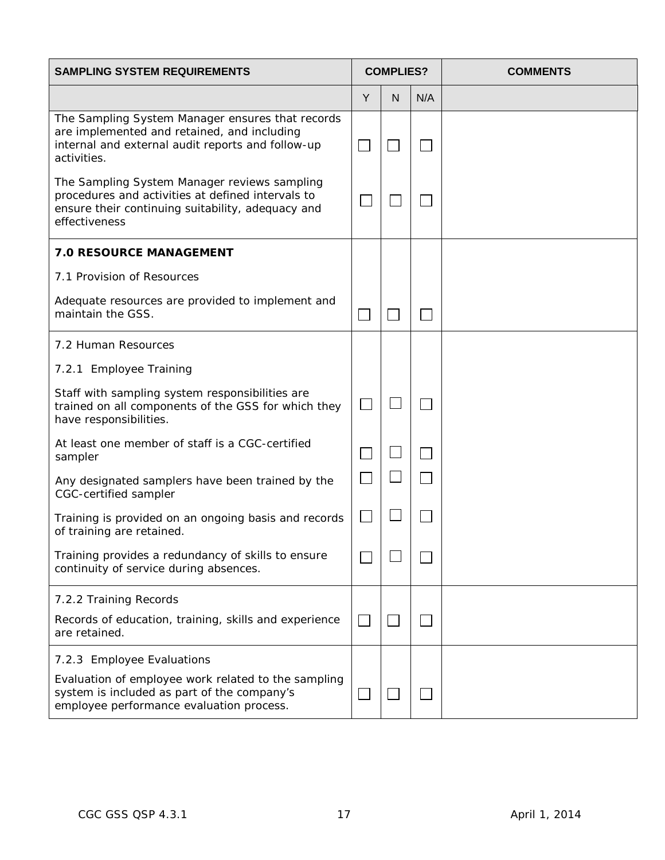| <b>SAMPLING SYSTEM REQUIREMENTS</b>                                                                                                                                     | <b>COMPLIES?</b> |   |     | <b>COMMENTS</b> |
|-------------------------------------------------------------------------------------------------------------------------------------------------------------------------|------------------|---|-----|-----------------|
|                                                                                                                                                                         | Y                | N | N/A |                 |
| The Sampling System Manager ensures that records<br>are implemented and retained, and including<br>internal and external audit reports and follow-up<br>activities.     | $\Box$           |   |     |                 |
| The Sampling System Manager reviews sampling<br>procedures and activities at defined intervals to<br>ensure their continuing suitability, adequacy and<br>effectiveness |                  |   |     |                 |
| <b>7.0 RESOURCE MANAGEMENT</b>                                                                                                                                          |                  |   |     |                 |
| 7.1 Provision of Resources                                                                                                                                              |                  |   |     |                 |
| Adequate resources are provided to implement and<br>maintain the GSS.                                                                                                   |                  |   |     |                 |
| 7.2 Human Resources                                                                                                                                                     |                  |   |     |                 |
| 7.2.1 Employee Training                                                                                                                                                 |                  |   |     |                 |
| Staff with sampling system responsibilities are<br>trained on all components of the GSS for which they<br>have responsibilities.                                        | $\mathbb{R}^n$   |   |     |                 |
| At least one member of staff is a CGC-certified<br>sampler                                                                                                              |                  |   |     |                 |
| Any designated samplers have been trained by the<br>CGC-certified sampler                                                                                               |                  |   |     |                 |
| Training is provided on an ongoing basis and records<br>of training are retained.                                                                                       | $\mathbf{L}$     |   |     |                 |
| Training provides a redundancy of skills to ensure<br>continuity of service during absences.                                                                            |                  |   |     |                 |
| 7.2.2 Training Records                                                                                                                                                  |                  |   |     |                 |
| Records of education, training, skills and experience<br>are retained.                                                                                                  | $\sim 10$        |   |     |                 |
| 7.2.3 Employee Evaluations                                                                                                                                              |                  |   |     |                 |
| Evaluation of employee work related to the sampling<br>system is included as part of the company's<br>employee performance evaluation process.                          |                  |   |     |                 |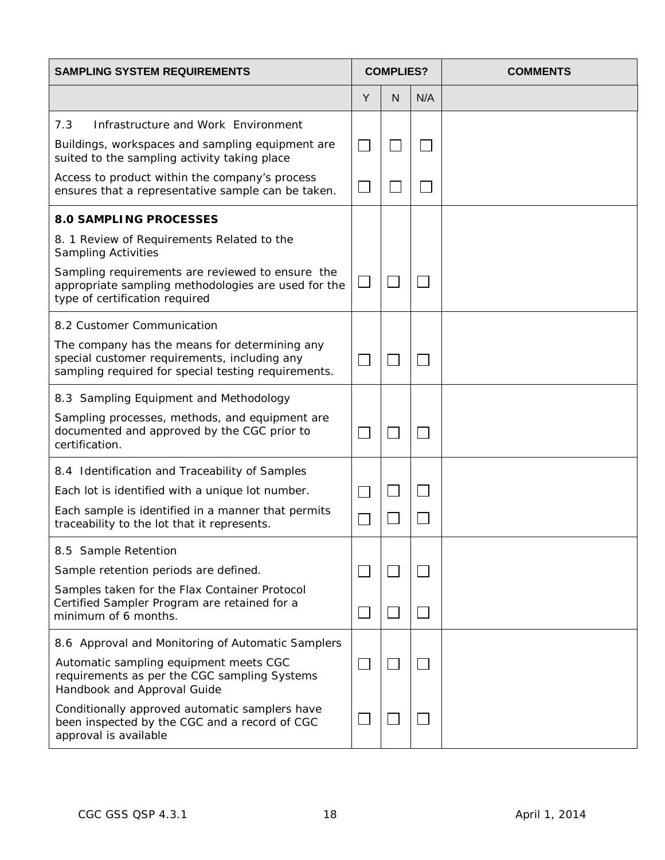| <b>SAMPLING SYSTEM REQUIREMENTS</b>                                                                                                                  |        | <b>COMPLIES?</b> |     | <b>COMMENTS</b> |
|------------------------------------------------------------------------------------------------------------------------------------------------------|--------|------------------|-----|-----------------|
|                                                                                                                                                      | Y      | N                | N/A |                 |
| 7.3<br>Infrastructure and Work Environment                                                                                                           |        |                  |     |                 |
| Buildings, workspaces and sampling equipment are<br>suited to the sampling activity taking place                                                     |        |                  |     |                 |
| Access to product within the company's process<br>ensures that a representative sample can be taken.                                                 |        |                  |     |                 |
| <b>8.0 SAMPLING PROCESSES</b>                                                                                                                        |        |                  |     |                 |
| 8. 1 Review of Requirements Related to the<br><b>Sampling Activities</b>                                                                             |        |                  |     |                 |
| Sampling requirements are reviewed to ensure the<br>appropriate sampling methodologies are used for the<br>type of certification required            | $\Box$ |                  |     |                 |
| 8.2 Customer Communication                                                                                                                           |        |                  |     |                 |
| The company has the means for determining any<br>special customer requirements, including any<br>sampling required for special testing requirements. |        |                  |     |                 |
| 8.3 Sampling Equipment and Methodology                                                                                                               |        |                  |     |                 |
| Sampling processes, methods, and equipment are<br>documented and approved by the CGC prior to<br>certification.                                      |        |                  |     |                 |
| 8.4 Identification and Traceability of Samples                                                                                                       |        |                  |     |                 |
| Each lot is identified with a unique lot number.                                                                                                     |        |                  |     |                 |
| Each sample is identified in a manner that permits<br>traceability to the lot that it represents.                                                    |        |                  |     |                 |
| 8.5 Sample Retention                                                                                                                                 |        |                  |     |                 |
| Sample retention periods are defined.                                                                                                                |        |                  |     |                 |
| Samples taken for the Flax Container Protocol<br>Certified Sampler Program are retained for a<br>minimum of 6 months.                                |        |                  |     |                 |
| 8.6 Approval and Monitoring of Automatic Samplers                                                                                                    |        |                  |     |                 |
| Automatic sampling equipment meets CGC<br>requirements as per the CGC sampling Systems<br>Handbook and Approval Guide                                |        |                  |     |                 |
| Conditionally approved automatic samplers have<br>been inspected by the CGC and a record of CGC<br>approval is available                             |        |                  |     |                 |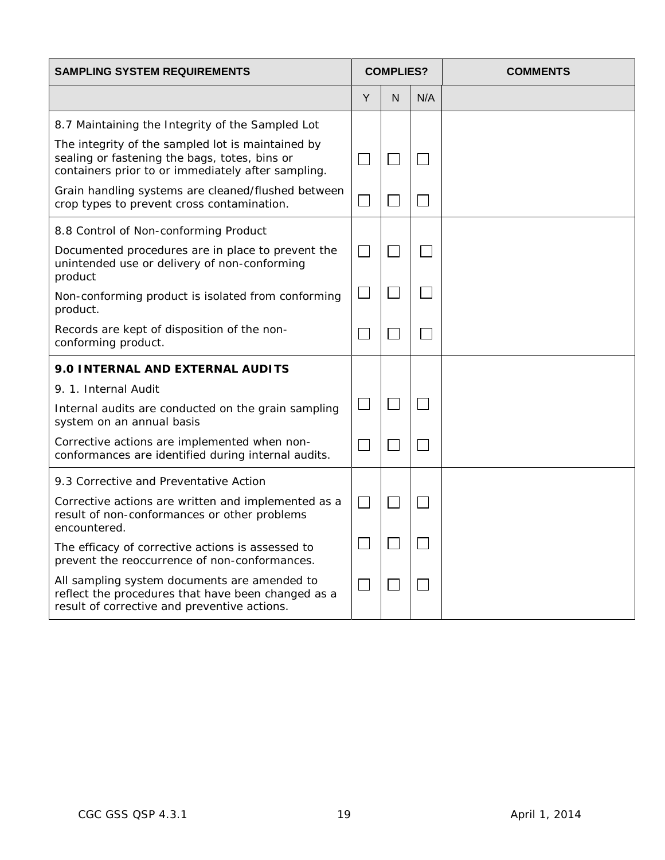| <b>SAMPLING SYSTEM REQUIREMENTS</b>                                                                                                                      | <b>COMPLIES?</b>            |   |     | <b>COMMENTS</b> |
|----------------------------------------------------------------------------------------------------------------------------------------------------------|-----------------------------|---|-----|-----------------|
|                                                                                                                                                          | Y                           | N | N/A |                 |
| 8.7 Maintaining the Integrity of the Sampled Lot                                                                                                         |                             |   |     |                 |
| The integrity of the sampled lot is maintained by<br>sealing or fastening the bags, totes, bins or<br>containers prior to or immediately after sampling. | $\mathcal{L}_{\mathcal{A}}$ |   |     |                 |
| Grain handling systems are cleaned/flushed between<br>crop types to prevent cross contamination.                                                         |                             |   |     |                 |
| 8.8 Control of Non-conforming Product                                                                                                                    |                             |   |     |                 |
| Documented procedures are in place to prevent the<br>unintended use or delivery of non-conforming<br>product                                             | $\sim$                      |   |     |                 |
| Non-conforming product is isolated from conforming<br>product.                                                                                           |                             |   |     |                 |
| Records are kept of disposition of the non-<br>conforming product.                                                                                       |                             |   |     |                 |
| 9.0 INTERNAL AND EXTERNAL AUDITS                                                                                                                         |                             |   |     |                 |
| 9. 1. Internal Audit                                                                                                                                     |                             |   |     |                 |
| Internal audits are conducted on the grain sampling<br>system on an annual basis                                                                         |                             |   |     |                 |
| Corrective actions are implemented when non-<br>conformances are identified during internal audits.                                                      | $\sim$                      |   |     |                 |
| 9.3 Corrective and Preventative Action                                                                                                                   |                             |   |     |                 |
| Corrective actions are written and implemented as a<br>result of non-conformances or other problems<br>encountered.                                      | $\Box$                      |   |     |                 |
| The efficacy of corrective actions is assessed to<br>prevent the reoccurrence of non-conformances.                                                       |                             |   |     |                 |
| All sampling system documents are amended to<br>reflect the procedures that have been changed as a<br>result of corrective and preventive actions.       |                             |   |     |                 |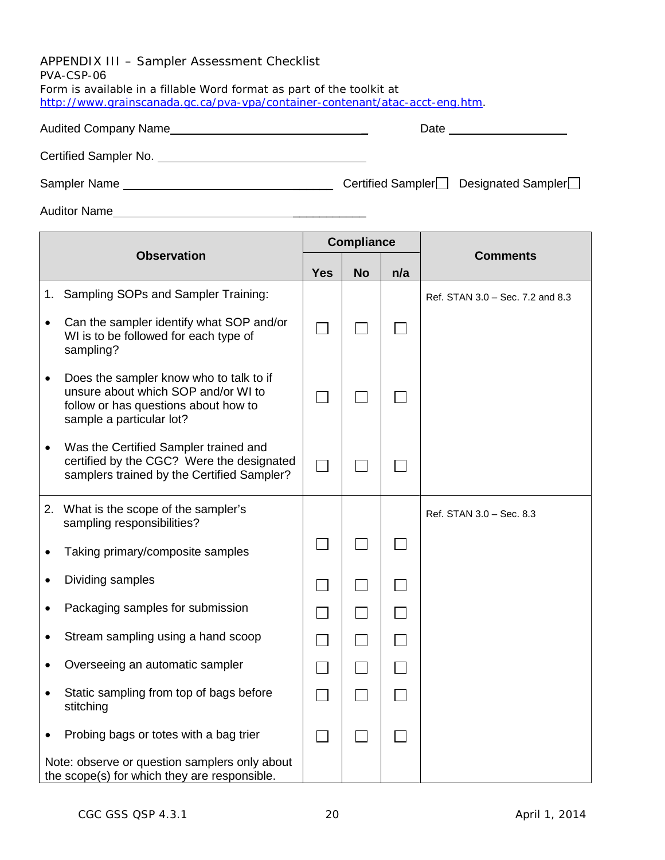<span id="page-25-0"></span>APPENDIX III – Sampler Assessment Checklist PVA-CSP-06 Form is available in a fillable Word format as part of the toolkit at [http://www.grainscanada.gc.ca/pva-vpa/container-contenant/atac-acct-eng.htm.](http://www.grainscanada.gc.ca/pva-vpa/container-contenant/atac-acct-eng.htm)

Certified Sampler No.

Sampler Name \_\_\_\_\_\_ Certified Sampler Designated Sampler

Auditor Name **Auditor** Name

|           |                                                                                                                                                    |                             | <b>Compliance</b>           |     |                                  |
|-----------|----------------------------------------------------------------------------------------------------------------------------------------------------|-----------------------------|-----------------------------|-----|----------------------------------|
|           | <b>Observation</b>                                                                                                                                 | <b>Yes</b>                  | <b>No</b>                   | n/a | <b>Comments</b>                  |
| 1.        | Sampling SOPs and Sampler Training:                                                                                                                |                             |                             |     | Ref. STAN 3.0 - Sec. 7.2 and 8.3 |
| $\bullet$ | Can the sampler identify what SOP and/or<br>WI is to be followed for each type of<br>sampling?                                                     |                             |                             |     |                                  |
| $\bullet$ | Does the sampler know who to talk to if<br>unsure about which SOP and/or WI to<br>follow or has questions about how to<br>sample a particular lot? |                             |                             |     |                                  |
|           | Was the Certified Sampler trained and<br>certified by the CGC? Were the designated<br>samplers trained by the Certified Sampler?                   |                             |                             |     |                                  |
|           | 2. What is the scope of the sampler's<br>sampling responsibilities?                                                                                |                             |                             |     | Ref. STAN 3.0 - Sec. 8.3         |
|           | Taking primary/composite samples                                                                                                                   |                             |                             |     |                                  |
|           | Dividing samples                                                                                                                                   |                             |                             |     |                                  |
|           | Packaging samples for submission                                                                                                                   | $\mathcal{L}_{\mathcal{A}}$ | $\Box$                      |     |                                  |
|           | Stream sampling using a hand scoop                                                                                                                 | $\mathcal{L}_{\mathcal{A}}$ | $\mathcal{L}_{\mathcal{A}}$ |     |                                  |
|           | Overseeing an automatic sampler                                                                                                                    | $\mathcal{L}_{\mathcal{A}}$ | $\Box$                      |     |                                  |
| $\bullet$ | Static sampling from top of bags before<br>stitching                                                                                               |                             |                             |     |                                  |
|           | Probing bags or totes with a bag trier                                                                                                             | $\sim$                      | $\blacksquare$              |     |                                  |
|           | Note: observe or question samplers only about<br>the scope(s) for which they are responsible.                                                      |                             |                             |     |                                  |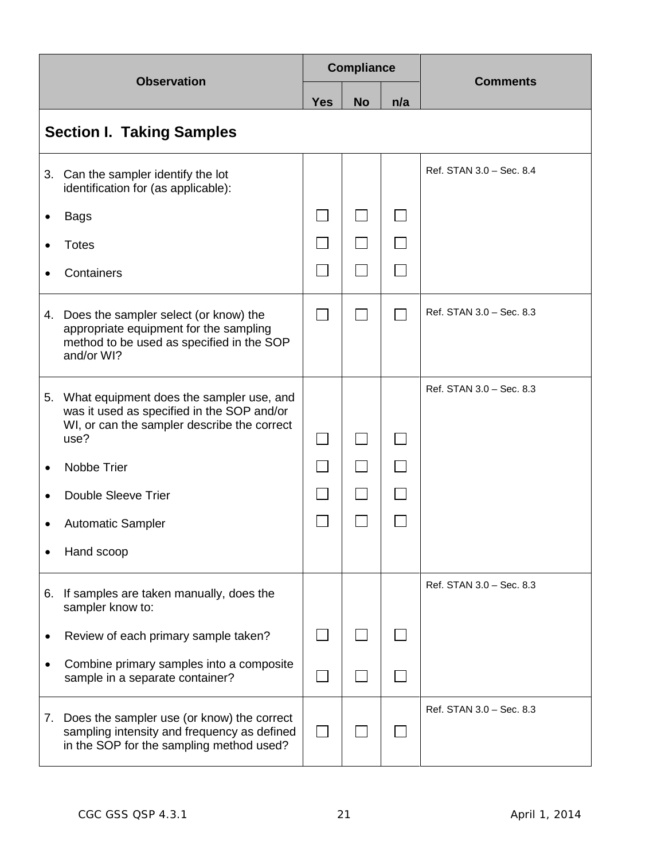|           | <b>Observation</b>                                                                                                                               |                   | <b>Compliance</b> |     | <b>Comments</b>          |  |
|-----------|--------------------------------------------------------------------------------------------------------------------------------------------------|-------------------|-------------------|-----|--------------------------|--|
|           |                                                                                                                                                  |                   | <b>No</b>         | n/a |                          |  |
|           | <b>Section I. Taking Samples</b>                                                                                                                 |                   |                   |     |                          |  |
|           | 3. Can the sampler identify the lot<br>identification for (as applicable):                                                                       |                   |                   |     | Ref. STAN 3.0 - Sec. 8.4 |  |
|           | <b>Bags</b>                                                                                                                                      | $\vert \ \ \vert$ |                   |     |                          |  |
|           | <b>Totes</b>                                                                                                                                     |                   | $\Box$            |     |                          |  |
|           | Containers                                                                                                                                       |                   |                   |     |                          |  |
| 4.        | Does the sampler select (or know) the<br>appropriate equipment for the sampling<br>method to be used as specified in the SOP<br>and/or WI?       |                   |                   |     | Ref. STAN 3.0 - Sec. 8.3 |  |
|           | 5. What equipment does the sampler use, and<br>was it used as specified in the SOP and/or<br>WI, or can the sampler describe the correct<br>use? |                   |                   |     | Ref. STAN 3.0 - Sec. 8.3 |  |
|           | Nobbe Trier                                                                                                                                      |                   |                   |     |                          |  |
|           | <b>Double Sleeve Trier</b>                                                                                                                       |                   |                   |     |                          |  |
|           | <b>Automatic Sampler</b>                                                                                                                         |                   |                   |     |                          |  |
|           | Hand scoop                                                                                                                                       |                   |                   |     |                          |  |
| 6.        | If samples are taken manually, does the<br>sampler know to:                                                                                      |                   |                   |     | Ref. STAN 3.0 - Sec. 8.3 |  |
| $\bullet$ | Review of each primary sample taken?                                                                                                             |                   |                   |     |                          |  |
|           | Combine primary samples into a composite<br>sample in a separate container?                                                                      |                   |                   |     |                          |  |
| 7.        | Does the sampler use (or know) the correct<br>sampling intensity and frequency as defined<br>in the SOP for the sampling method used?            |                   |                   |     | Ref. STAN 3.0 - Sec. 8.3 |  |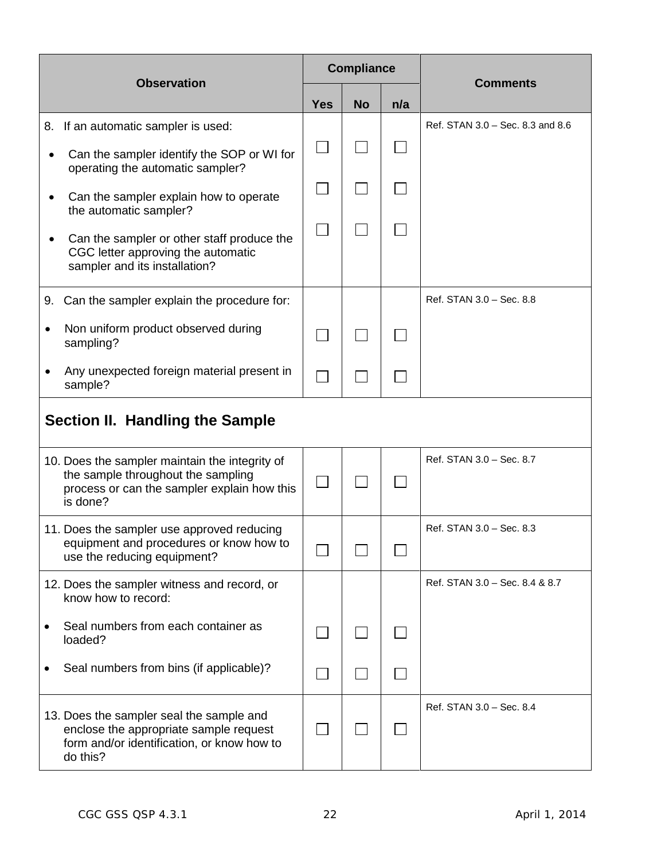|    | <b>Observation</b>                                                                                                                              | <b>Compliance</b>              |  |  | <b>Comments</b>                  |  |
|----|-------------------------------------------------------------------------------------------------------------------------------------------------|--------------------------------|--|--|----------------------------------|--|
|    |                                                                                                                                                 | n/a<br><b>Yes</b><br><b>No</b> |  |  |                                  |  |
|    | 8. If an automatic sampler is used:                                                                                                             |                                |  |  | Ref. STAN 3.0 - Sec. 8.3 and 8.6 |  |
|    | Can the sampler identify the SOP or WI for<br>operating the automatic sampler?                                                                  |                                |  |  |                                  |  |
|    | Can the sampler explain how to operate<br>the automatic sampler?                                                                                |                                |  |  |                                  |  |
|    | Can the sampler or other staff produce the<br>CGC letter approving the automatic<br>sampler and its installation?                               | $\sim$                         |  |  |                                  |  |
| 9. | Can the sampler explain the procedure for:                                                                                                      |                                |  |  | Ref. STAN 3.0 - Sec. 8.8         |  |
|    | Non uniform product observed during<br>sampling?                                                                                                |                                |  |  |                                  |  |
|    | Any unexpected foreign material present in<br>sample?                                                                                           |                                |  |  |                                  |  |
|    | <b>Section II. Handling the Sample</b>                                                                                                          |                                |  |  |                                  |  |
|    | 10. Does the sampler maintain the integrity of<br>the sample throughout the sampling<br>process or can the sampler explain how this<br>is done? |                                |  |  | Ref. STAN 3.0 - Sec. 8.7         |  |
|    | 11. Does the sampler use approved reducing<br>equipment and procedures or know how to<br>use the reducing equipment?                            |                                |  |  | Ref. STAN 3.0 - Sec. 8.3         |  |
|    | 12. Does the sampler witness and record, or<br>know how to record:                                                                              |                                |  |  | Ref. STAN 3.0 - Sec. 8.4 & 8.7   |  |
|    | Seal numbers from each container as<br>loaded?                                                                                                  |                                |  |  |                                  |  |
|    | Seal numbers from bins (if applicable)?                                                                                                         |                                |  |  |                                  |  |
|    | 13. Does the sampler seal the sample and<br>enclose the appropriate sample request<br>form and/or identification, or know how to<br>do this?    |                                |  |  | Ref. STAN 3.0 - Sec. 8.4         |  |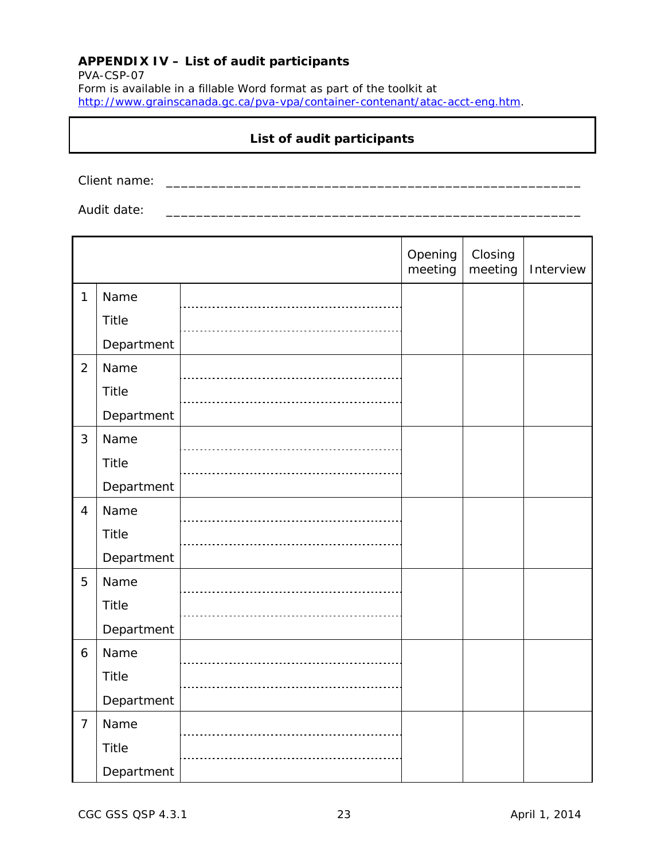## <span id="page-28-0"></span>**APPENDIX IV – List of audit participants**

PVA-CSP-07 Form is available in a fillable Word format as part of the toolkit at [http://www.grainscanada.gc.ca/pva-vpa/container-contenant/atac-acct-eng.htm.](http://www.grainscanada.gc.ca/pva-vpa/container-contenant/atac-acct-eng.htm)

## **List of audit participants**

Client name: \_\_\_\_\_\_\_\_\_\_\_\_\_\_\_\_\_\_\_\_\_\_\_\_\_\_\_\_\_\_\_\_\_\_\_\_\_\_\_\_\_\_\_\_\_\_\_\_\_\_\_\_\_\_\_

Audit date:  $\overline{a}$ 

|                |              | Opening<br>meeting | Closing<br>meeting | Interview |
|----------------|--------------|--------------------|--------------------|-----------|
| $\mathbf{1}$   | Name         |                    |                    |           |
|                | Title        |                    |                    |           |
|                | Department   |                    |                    |           |
| $\overline{2}$ | Name         |                    |                    |           |
|                | Title        |                    |                    |           |
|                | Department   |                    |                    |           |
| 3              | Name         |                    |                    |           |
|                | <b>Title</b> |                    |                    |           |
|                | Department   |                    |                    |           |
| $\overline{4}$ | Name         |                    |                    |           |
|                | Title        |                    |                    |           |
|                | Department   |                    |                    |           |
| 5              | Name         |                    |                    |           |
|                | Title        |                    |                    |           |
|                | Department   |                    |                    |           |
| 6              | Name         |                    |                    |           |
|                | Title        |                    |                    |           |
|                | Department   |                    |                    |           |
| $\overline{7}$ | Name         |                    |                    |           |
|                | Title        |                    |                    |           |
|                | Department   |                    |                    |           |